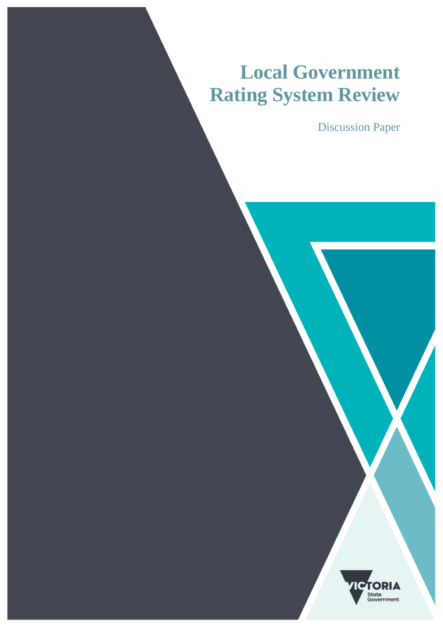# **Local Government Rating System Review**

**Local Government Rating** 

Discussion Paper

Discussion Paper

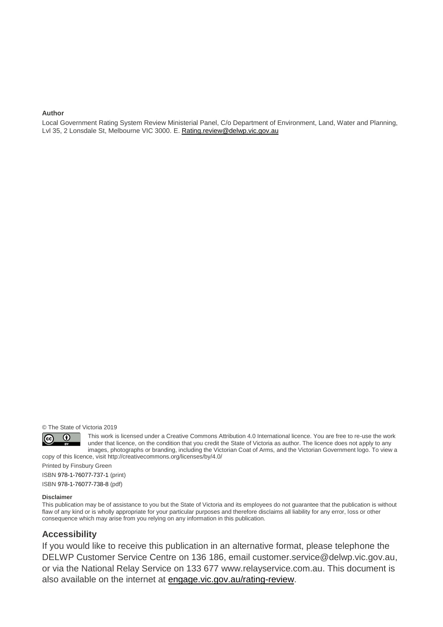#### **Author**

Local Government Rating System Review Ministerial Panel, C/o Department of Environment, Land, Water and Planning, Lvl 35, 2 Lonsdale St, Melbourne VIC 3000. E. [Rating.review@delwp.vic.gov.au](mailto:Rating.review@delwp.vic.gov.au)

© The State of Victoria 2019

 $\bigcirc$  $|cc|$ 

This work is licensed under a Creative Commons Attribution 4.0 International licence. You are free to re-use the work under that licence, on the condition that you credit the State of Victoria as author. The licence does not apply to any images, photographs or branding, including the Victorian Coat of Arms, and the Victorian Government logo. To view a copy of this licence, visi[t http://creativecommons.org/licenses/by/4.0/](http://creativecommons.org/licenses/by/4.0/)

Printed by Finsbury Green

ISBN 978-1-76077-737-1 (print)

ISBN 978-1-76077-738-8 (pdf)

#### **Disclaimer**

This publication may be of assistance to you but the State of Victoria and its employees do not guarantee that the publication is without flaw of any kind or is wholly appropriate for your particular purposes and therefore disclaims all liability for any error, loss or other consequence which may arise from you relying on any information in this publication.

### **Accessibility**

If you would like to receive this publication in an alternative format, please telephone the DELWP Customer Service Centre on 136 186, email [customer.service@delwp.vic.gov.au,](mailto:customer.service@delwp.vic.gov.au) or via the National Relay Service on 133 677 [www.relayservice.com.au.](http://www.relayservice.com.au/) This document is also available on the internet at [engage.vic.gov.au/rating-review.](http://www.engage.vic.gov.au/rating-review)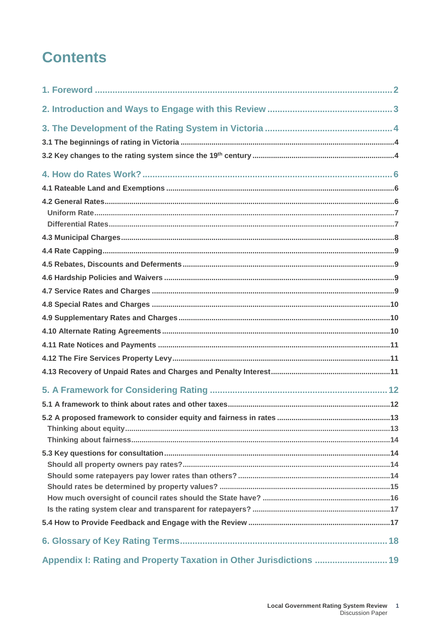# **Contents**

| Appendix I: Rating and Property Taxation in Other Jurisdictions  19 |
|---------------------------------------------------------------------|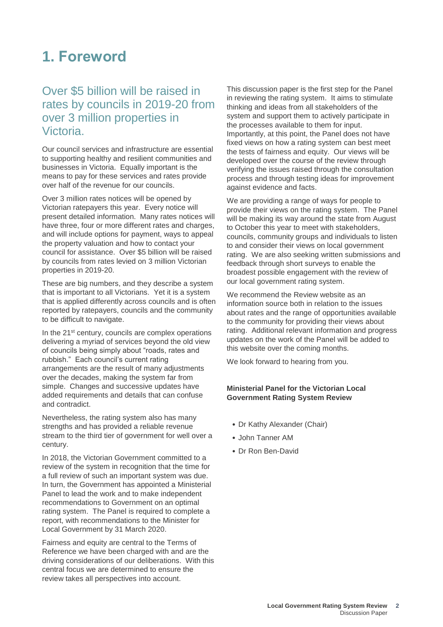# <span id="page-3-0"></span>**1. Foreword**

# Over \$5 billion will be raised in rates by councils in 2019-20 from over 3 million properties in Victoria.

Our council services and infrastructure are essential to supporting healthy and resilient communities and businesses in Victoria. Equally important is the means to pay for these services and rates provide over half of the revenue for our councils.

Over 3 million rates notices will be opened by Victorian ratepayers this year. Every notice will present detailed information. Many rates notices will have three, four or more different rates and charges. and will include options for payment, ways to appeal the property valuation and how to contact your council for assistance. Over \$5 billion will be raised by councils from rates levied on 3 million Victorian properties in 2019-20.

These are big numbers, and they describe a system that is important to all Victorians. Yet it is a system that is applied differently across councils and is often reported by ratepayers, councils and the community to be difficult to navigate.

In the 21<sup>st</sup> century, councils are complex operations delivering a myriad of services beyond the old view of councils being simply about "roads, rates and rubbish." Each council's current rating arrangements are the result of many adjustments over the decades, making the system far from simple. Changes and successive updates have added requirements and details that can confuse and contradict.

Nevertheless, the rating system also has many strengths and has provided a reliable revenue stream to the third tier of government for well over a century.

In 2018, the Victorian Government committed to a review of the system in recognition that the time for a full review of such an important system was due. In turn, the Government has appointed a Ministerial Panel to lead the work and to make independent recommendations to Government on an optimal rating system. The Panel is required to complete a report, with recommendations to the Minister for Local Government by 31 March 2020.

Fairness and equity are central to the Terms of Reference we have been charged with and are the driving considerations of our deliberations. With this central focus we are determined to ensure the review takes all perspectives into account.

This discussion paper is the first step for the Panel in reviewing the rating system. It aims to stimulate thinking and ideas from all stakeholders of the system and support them to actively participate in the processes available to them for input. Importantly, at this point, the Panel does not have fixed views on how a rating system can best meet the tests of fairness and equity. Our views will be developed over the course of the review through verifying the issues raised through the consultation process and through testing ideas for improvement against evidence and facts.

We are providing a range of ways for people to provide their views on the rating system. The Panel will be making its way around the state from August to October this year to meet with stakeholders, councils, community groups and individuals to listen to and consider their views on local government rating. We are also seeking written submissions and feedback through short surveys to enable the broadest possible engagement with the review of our local government rating system.

We recommend the Review website as an information source both in relation to the issues about rates and the range of opportunities available to the community for providing their views about rating. Additional relevant information and progress updates on the work of the Panel will be added to this website over the coming months.

We look forward to hearing from you.

### **Ministerial Panel for the Victorian Local Government Rating System Review**

- Dr Kathy Alexander (Chair)
- John Tanner AM
- Dr Ron Ben-David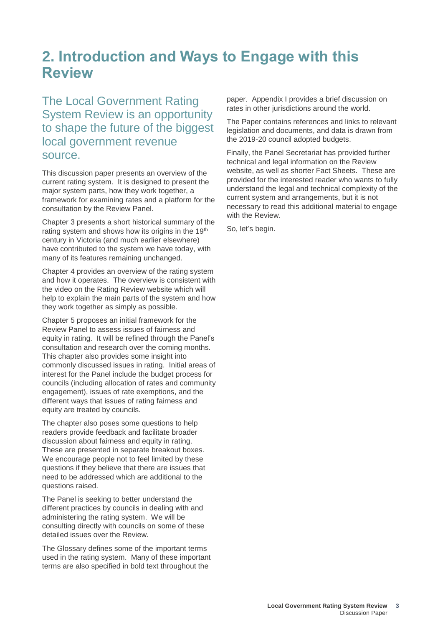# <span id="page-4-0"></span>**2. Introduction and Ways to Engage with this Review**

The Local Government Rating System Review is an opportunity to shape the future of the biggest local government revenue source.

This discussion paper presents an overview of the current rating system. It is designed to present the major system parts, how they work together, a framework for examining rates and a platform for the consultation by the Review Panel.

Chapter 3 presents a short historical summary of the rating system and shows how its origins in the 19th century in Victoria (and much earlier elsewhere) have contributed to the system we have today, with many of its features remaining unchanged.

Chapter 4 provides an overview of the rating system and how it operates. The overview is consistent with the video on the Rating Review website which will help to explain the main parts of the system and how they work together as simply as possible.

Chapter 5 proposes an initial framework for the Review Panel to assess issues of fairness and equity in rating. It will be refined through the Panel's consultation and research over the coming months. This chapter also provides some insight into commonly discussed issues in rating. Initial areas of interest for the Panel include the budget process for councils (including allocation of rates and community engagement), issues of rate exemptions, and the different ways that issues of rating fairness and equity are treated by councils.

The chapter also poses some questions to help readers provide feedback and facilitate broader discussion about fairness and equity in rating. These are presented in separate breakout boxes. We encourage people not to feel limited by these questions if they believe that there are issues that need to be addressed which are additional to the questions raised.

The Panel is seeking to better understand the different practices by councils in dealing with and administering the rating system. We will be consulting directly with councils on some of these detailed issues over the Review.

The Glossary defines some of the important terms used in the rating system. Many of these important terms are also specified in bold text throughout the

paper. Appendix I provides a brief discussion on rates in other jurisdictions around the world.

The Paper contains references and links to relevant legislation and documents, and data is drawn from the 2019-20 council adopted budgets.

Finally, the Panel Secretariat has provided further technical and legal information on the Review website, as well as shorter Fact Sheets. These are provided for the interested reader who wants to fully understand the legal and technical complexity of the current system and arrangements, but it is not necessary to read this additional material to engage with the Review.

So, let's begin.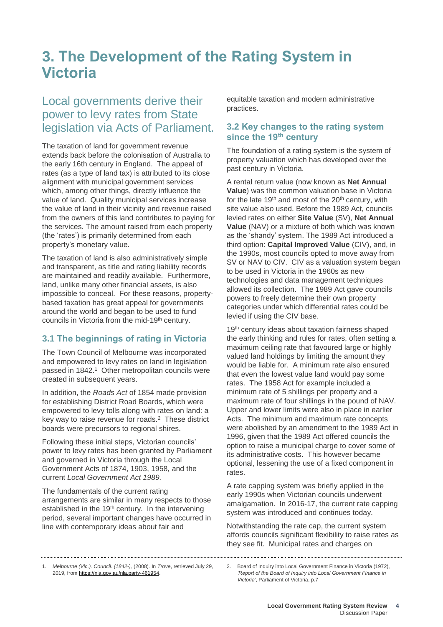# <span id="page-5-0"></span>**3. The Development of the Rating System in Victoria**

# Local governments derive their power to levy rates from State legislation via Acts of Parliament.

The taxation of land for government revenue extends back before the colonisation of Australia to the early 16th century in England. The appeal of rates (as a type of land tax) is attributed to its close alignment with municipal government services which, among other things, directly influence the value of land. Quality municipal services increase the value of land in their vicinity and revenue raised from the owners of this land contributes to paying for the services. The amount raised from each property (the 'rates') is primarily determined from each property's monetary value.

The taxation of land is also administratively simple and transparent, as title and rating liability records are maintained and readily available. Furthermore, land, unlike many other financial assets, is also impossible to conceal. For these reasons, propertybased taxation has great appeal for governments around the world and began to be used to fund councils in Victoria from the mid-19<sup>th</sup> century.

# <span id="page-5-1"></span>**3.1 The beginnings of rating in Victoria**

The Town Council of Melbourne was incorporated and empowered to levy rates on land in legislation passed in 1842. 1 Other metropolitan councils were created in subsequent years.

In addition, the *Roads Act* of 1854 made provision for establishing District Road Boards, which were empowered to levy tolls along with rates on land: a key way to raise revenue for roads.<sup>2</sup> These district boards were precursors to regional shires.

Following these initial steps, Victorian councils' power to levy rates has been granted by Parliament and governed in Victoria through the Local Government Acts of 1874, 1903, 1958, and the current *Local Government Act 1989.*

The fundamentals of the current rating arrangements are similar in many respects to those established in the 19<sup>th</sup> century. In the intervening period, several important changes have occurred in line with contemporary ideas about fair and

equitable taxation and modern administrative practices.

# <span id="page-5-2"></span>**3.2 Key changes to the rating system since the 19th century**

The foundation of a rating system is the system of property valuation which has developed over the past century in Victoria.

A rental return value (now known as **Net Annual Value**) was the common valuation base in Victoria for the late 19<sup>th</sup> and most of the 20<sup>th</sup> century, with site value also used. Before the 1989 Act, councils levied rates on either **Site Value** (SV), **Net Annual Value** (NAV) or a mixture of both which was known as the 'shandy' system. The 1989 Act introduced a third option: **Capital Improved Value** (CIV), and, in the 1990s, most councils opted to move away from SV or NAV to CIV. CIV as a valuation system began to be used in Victoria in the 1960s as new technologies and data management techniques allowed its collection. The 1989 Act gave councils powers to freely determine their own property categories under which differential rates could be levied if using the CIV base.

19<sup>th</sup> century ideas about taxation fairness shaped the early thinking and rules for rates, often setting a maximum ceiling rate that favoured large or highly valued land holdings by limiting the amount they would be liable for. A minimum rate also ensured that even the lowest value land would pay some rates. The 1958 Act for example included a minimum rate of 5 shillings per property and a maximum rate of four shillings in the pound of NAV. Upper and lower limits were also in place in earlier Acts. The minimum and maximum rate concepts were abolished by an amendment to the 1989 Act in 1996, given that the 1989 Act offered councils the option to raise a municipal charge to cover some of its administrative costs. This however became optional, lessening the use of a fixed component in rates.

A rate capping system was briefly applied in the early 1990s when Victorian councils underwent amalgamation. In 2016-17, the current rate capping system was introduced and continues today.

Notwithstanding the rate cap, the current system affords councils significant flexibility to raise rates as they see fit. Municipal rates and charges on

1. *Melbourne (Vic.). Council. (1842-),* (2008)*.* In *Trove*, retrieved July 29, 2019, fro[m https://nla.gov.au/nla.party-461954.](https://nla.gov.au/nla.party-461954)

<sup>2.</sup> Board of Inquiry into Local Government Finance in Victoria (1972), *'Report of the Board of Inquiry into Local Government Finance in Victoria'*, Parliament of Victoria, p.7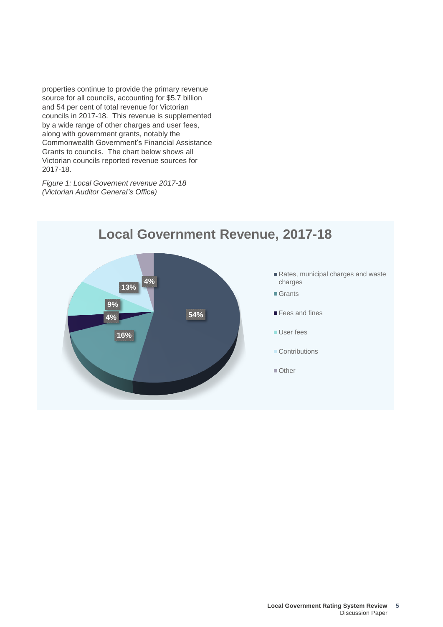properties continue to provide the primary revenue source for all councils, accounting for \$5.7 billion and 54 per cent of total revenue for Victorian councils in 2017-18. This revenue is supplemented by a wide range of other charges and user fees, along with government grants, notably the Commonwealth Government's Financial Assistance Grants to councils. The chart below shows all Victorian councils reported revenue sources for 2017-18.

*Figure 1: Local Governent revenue 2017-18 (Victorian Auditor General's Office)*



#### **Local Government Rating System Review 5** Discussion Paper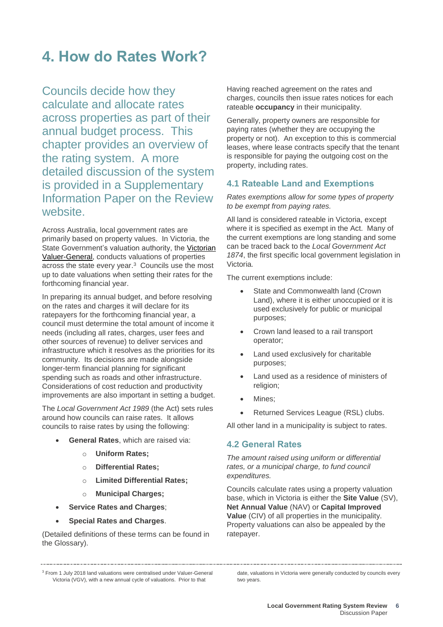# <span id="page-7-0"></span>**4. How do Rates Work?**

Councils decide how they calculate and allocate rates across properties as part of their annual budget process. This chapter provides an overview of the rating system. A more detailed discussion of the system is provided in a Supplementary Information Paper on the Review website.

Across Australia, local government rates are primarily based on property values. In Victoria, the State Government's valuation authority, the [Victorian](https://www.propertyandlandtitles.vic.gov.au/valuation/valuer-general-victoria)  [Valuer-General,](https://www.propertyandlandtitles.vic.gov.au/valuation/valuer-general-victoria) conducts valuations of properties across the state every year.<sup>3</sup> Councils use the most up to date valuations when setting their rates for the forthcoming financial year.

In preparing its annual budget, and before resolving on the rates and charges it will declare for its ratepayers for the forthcoming financial year, a council must determine the total amount of income it needs (including all rates, charges, user fees and other sources of revenue) to deliver services and infrastructure which it resolves as the priorities for its community. Its decisions are made alongside longer-term financial planning for significant spending such as roads and other infrastructure. Considerations of cost reduction and productivity improvements are also important in setting a budget.

The *Local Government Act 1989* (the Act) sets rules around how councils can raise rates. It allows councils to raise rates by using the following:

- **General Rates**, which are raised via:
	- o **Uniform Rates;**
	- o **Differential Rates;**
	- o **Limited Differential Rates;**
	- o **Municipal Charges;**
- **Service Rates and Charges**;
- **Special Rates and Charges**.

(Detailed definitions of these terms can be found in the Glossary).

Having reached agreement on the rates and charges, councils then issue rates notices for each rateable **occupancy** in their municipality.

Generally, property owners are responsible for paying rates (whether they are occupying the property or not). An exception to this is commercial leases, where lease contracts specify that the tenant is responsible for paying the outgoing cost on the property, including rates.

### <span id="page-7-1"></span>**4.1 Rateable Land and Exemptions**

*Rates exemptions allow for some types of property to be exempt from paying rates.*

All land is considered rateable in Victoria, except where it is specified as exempt in the Act. Many of the current exemptions are long standing and some can be traced back to the *Local Government Act 1874*, the first specific local government legislation in Victoria*.*

The current exemptions include:

- State and Commonwealth land (Crown Land), where it is either unoccupied or it is used exclusively for public or municipal purposes;
- Crown land leased to a rail transport operator;
- Land used exclusively for charitable purposes;
- Land used as a residence of ministers of religion;
- Mines:
- Returned Services League (RSL) clubs.

All other land in a municipality is subject to rates.

### <span id="page-7-2"></span>**4.2 General Rates**

*The amount raised using uniform or differential rates, or a municipal charge, to fund council expenditures.*

Councils calculate rates using a property valuation base, which in Victoria is either the **Site Value** (SV), **Net Annual Value** (NAV) or **Capital Improved Value** (CIV) of all properties in the municipality. Property valuations can also be appealed by the ratepayer.

date, valuations in Victoria were generally conducted by councils every two years.

<sup>3</sup> From 1 July 2018 land valuations were centralised under Valuer-General Victoria (VGV), with a new annual cycle of valuations. Prior to that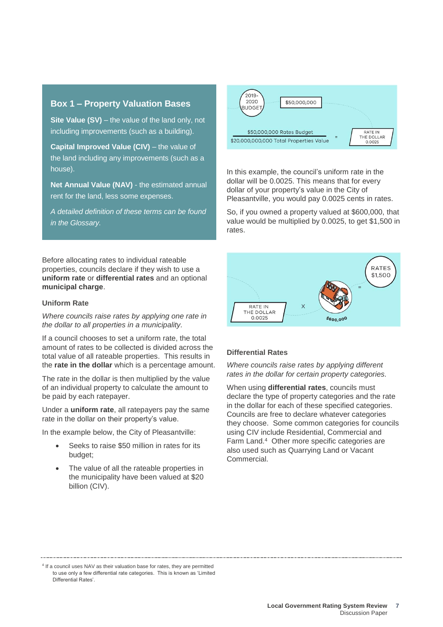### **Box 1 – Property Valuation Bases**

**Site Value (SV)** – the value of the land only, not including improvements (such as a building).

**Capital Improved Value (CIV)** – the value of the land including any improvements (such as a house).

**Net Annual Value (NAV)** - the estimated annual rent for the land, less some expenses.

*A detailed definition of these terms can be found in the Glossary.*

Before allocating rates to individual rateable properties, councils declare if they wish to use a **uniform rate** or **differential rates** and an optional **municipal charge**.

#### <span id="page-8-0"></span>**Uniform Rate**

#### *Where councils raise rates by applying one rate in the dollar to all properties in a municipality.*

If a council chooses to set a uniform rate, the total amount of rates to be collected is divided across the total value of all rateable properties. This results in the **rate in the dollar** which is a percentage amount.

The rate in the dollar is then multiplied by the value of an individual property to calculate the amount to be paid by each ratepayer.

Under a **uniform rate**, all ratepayers pay the same rate in the dollar on their property's value.

In the example below, the City of Pleasantville:

- Seeks to raise \$50 million in rates for its budget;
- The value of all the rateable properties in the municipality have been valued at \$20 billion (CIV).



In this example, the council's uniform rate in the dollar will be 0.0025. This means that for every dollar of your property's value in the City of Pleasantville, you would pay 0.0025 cents in rates.

So, if you owned a property valued at \$600,000, that value would be multiplied by 0.0025, to get \$1,500 in rates.



#### <span id="page-8-1"></span>**Differential Rates**

*Where councils raise rates by applying different rates in the dollar for certain property categories.*

When using **differential rates**, councils must declare the type of property categories and the rate in the dollar for each of these specified categories. Councils are free to declare whatever categories they choose. Some common categories for councils using CIV include Residential, Commercial and Farm Land.<sup>4</sup> Other more specific categories are also used such as Quarrying Land or Vacant Commercial.

4 If a council uses NAV as their valuation base for rates, they are permitted to use only a few differential rate categories. This is known as 'Limited Differential Rates'.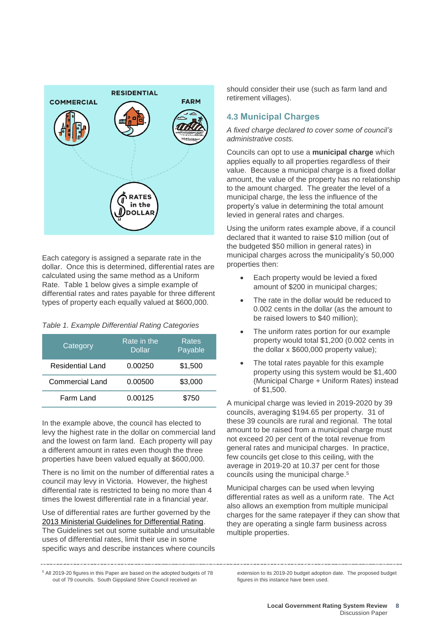

Each category is assigned a separate rate in the dollar. Once this is determined, differential rates are calculated using the same method as a Uniform Rate. Table 1 below gives a simple example of differential rates and rates payable for three different types of property each equally valued at \$600,000.

#### *Table 1. Example Differential Rating Categories*

| Category         | Rate in the<br>Dollar | Rates<br>Payable |
|------------------|-----------------------|------------------|
| Residential Land | 0.00250               | \$1,500          |
| Commercial Land  | 0.00500               | \$3,000          |
| Farm Land        | 0.00125               | \$750            |

In the example above, the council has elected to levy the highest rate in the dollar on commercial land and the lowest on farm land. Each property will pay a different amount in rates even though the three properties have been valued equally at \$600,000.

There is no limit on the number of differential rates a council may levy in Victoria. However, the highest differential rate is restricted to being no more than 4 times the lowest differential rate in a financial year.

Use of differential rates are further governed by the [2013 Ministerial Guidelines for Differential Rating.](https://www.localgovernment.vic.gov.au/__data/assets/pdf_file/0022/74821/Ministerial_Guidelines_for_Differential_Rating_April_2013-PDF.pdf) The Guidelines set out some suitable and unsuitable uses of differential rates, limit their use in some specific ways and describe instances where councils should consider their use (such as farm land and retirement villages).

# <span id="page-9-0"></span>**4.3 Municipal Charges**

*A fixed charge declared to cover some of council's administrative costs.*

Councils can opt to use a **municipal charge** which applies equally to all properties regardless of their value. Because a municipal charge is a fixed dollar amount, the value of the property has no relationship to the amount charged. The greater the level of a municipal charge, the less the influence of the property's value in determining the total amount levied in general rates and charges.

Using the uniform rates example above, if a council declared that it wanted to raise \$10 million (out of the budgeted \$50 million in general rates) in municipal charges across the municipality's 50,000 properties then:

- Each property would be levied a fixed amount of \$200 in municipal charges;
- The rate in the dollar would be reduced to 0.002 cents in the dollar (as the amount to be raised lowers to \$40 million);
- The uniform rates portion for our example property would total \$1,200 (0.002 cents in the dollar x \$600,000 property value);
- The total rates payable for this example property using this system would be \$1,400 (Municipal Charge + Uniform Rates) instead of \$1,500.

A municipal charge was levied in 2019-2020 by 39 councils, averaging \$194.65 per property. 31 of these 39 councils are rural and regional. The total amount to be raised from a municipal charge must not exceed 20 per cent of the total revenue from general rates and municipal charges. In practice, few councils get close to this ceiling, with the average in 2019-20 at 10.37 per cent for those councils using the municipal charge. 5

Municipal charges can be used when levying differential rates as well as a uniform rate. The Act also allows an exemption from multiple municipal charges for the same ratepayer if they can show that they are operating a single farm business across multiple properties.

<sup>5</sup> All 2019-20 figures in this Paper are based on the adopted budgets of 78 out of 79 councils. South Gippsland Shire Council received an

extension to its 2019-20 budget adoption date. The proposed budget figures in this instance have been used.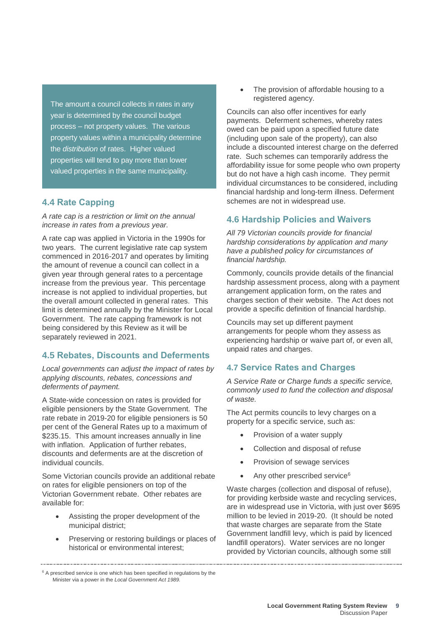The amount a council collects in rates in any year is determined by the council budget process – not property values. The various property values within a municipality determine the *distribution* of rates. Higher valued properties will tend to pay more than lower valued properties in the same municipality.

# <span id="page-10-0"></span>**4.4 Rate Capping**

*A rate cap is a restriction or limit on the annual increase in rates from a previous year.* 

A rate cap was applied in Victoria in the 1990s for two years. The current legislative rate cap system commenced in 2016-2017 and operates by limiting the amount of revenue a council can collect in a given year through general rates to a percentage increase from the previous year. This percentage increase is not applied to individual properties, but the overall amount collected in general rates. This limit is determined annually by the Minister for Local Government. The rate capping framework is not being considered by this Review as it will be separately reviewed in 2021.

# <span id="page-10-1"></span>**4.5 Rebates, Discounts and Deferments**

*Local governments can adjust the impact of rates by applying discounts, rebates, concessions and deferments of payment.* 

A State-wide concession on rates is provided for eligible pensioners by the State Government. The rate rebate in 2019-20 for eligible pensioners is 50 per cent of the General Rates up to a maximum of \$235.15. This amount increases annually in line with inflation. Application of further rebates, discounts and deferments are at the discretion of individual councils.

Some Victorian councils provide an additional rebate on rates for eligible pensioners on top of the Victorian Government rebate. Other rebates are available for:

- Assisting the proper development of the municipal district;
- Preserving or restoring buildings or places of historical or environmental interest;

The provision of affordable housing to a registered agency.

Councils can also offer incentives for early payments. Deferment schemes, whereby rates owed can be paid upon a specified future date (including upon sale of the property), can also include a discounted interest charge on the deferred rate. Such schemes can temporarily address the affordability issue for some people who own property but do not have a high cash income. They permit individual circumstances to be considered, including financial hardship and long-term illness. Deferment schemes are not in widespread use.

# <span id="page-10-2"></span>**4.6 Hardship Policies and Waivers**

*All 79 Victorian councils provide for financial hardship considerations by application and many have a published policy for circumstances of financial hardship.* 

Commonly, councils provide details of the financial hardship assessment process, along with a payment arrangement application form, on the rates and charges section of their website. The Act does not provide a specific definition of financial hardship.

Councils may set up different payment arrangements for people whom they assess as experiencing hardship or waive part of, or even all, unpaid rates and charges.

### <span id="page-10-3"></span>**4.7 Service Rates and Charges**

*A Service Rate or Charge funds a specific service, commonly used to fund the collection and disposal of waste.*

The Act permits councils to levy charges on a property for a specific service, such as:

- Provision of a water supply
- Collection and disposal of refuse
- Provision of sewage services
- Any other prescribed service<sup>6</sup>

Waste charges (collection and disposal of refuse), for providing kerbside waste and recycling services, are in widespread use in Victoria, with just over \$695 million to be levied in 2019-20. (It should be noted that waste charges are separate from the State Government landfill levy, which is paid by licenced landfill operators). Water services are no longer provided by Victorian councils, although some still

 $\delta$  A prescribed service is one which has been specified in regulations by the Minister via a power in the *Local Government Act 1989.*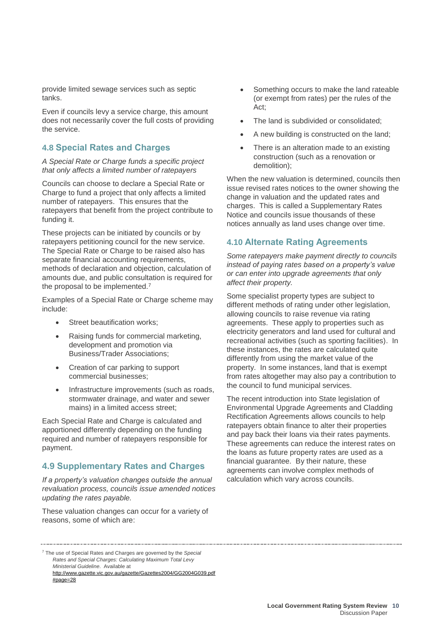provide limited sewage services such as septic tanks.

Even if councils levy a service charge, this amount does not necessarily cover the full costs of providing the service.

# <span id="page-11-0"></span>**4.8 Special Rates and Charges**

#### *A Special Rate or Charge funds a specific project that only affects a limited number of ratepayers*

Councils can choose to declare a Special Rate or Charge to fund a project that only affects a limited number of ratepayers. This ensures that the ratepayers that benefit from the project contribute to funding it.

These projects can be initiated by councils or by ratepayers petitioning council for the new service. The Special Rate or Charge to be raised also has separate financial accounting requirements, methods of declaration and objection, calculation of amounts due, and public consultation is required for the proposal to be implemented.<sup>7</sup>

Examples of a Special Rate or Charge scheme may include:

- Street beautification works:
- Raising funds for commercial marketing, development and promotion via Business/Trader Associations;
- Creation of car parking to support commercial businesses;
- Infrastructure improvements (such as roads, stormwater drainage, and water and sewer mains) in a limited access street;

Each Special Rate and Charge is calculated and apportioned differently depending on the funding required and number of ratepayers responsible for payment.

# <span id="page-11-1"></span>**4.9 Supplementary Rates and Charges**

*If a property's valuation changes outside the annual revaluation process, councils issue amended notices updating the rates payable.*

These valuation changes can occur for a variety of reasons, some of which are:

- Something occurs to make the land rateable (or exempt from rates) per the rules of the Act;
- The land is subdivided or consolidated;
- A new building is constructed on the land;
- There is an alteration made to an existing construction (such as a renovation or demolition);

When the new valuation is determined, councils then issue revised rates notices to the owner showing the change in valuation and the updated rates and charges. This is called a Supplementary Rates Notice and councils issue thousands of these notices annually as land uses change over time.

# <span id="page-11-2"></span>**4.10 Alternate Rating Agreements**

*Some ratepayers make payment directly to councils instead of paying rates based on a property's value or can enter into upgrade agreements that only affect their property.*

Some specialist property types are subject to different methods of rating under other legislation, allowing councils to raise revenue via rating agreements. These apply to properties such as electricity generators and land used for cultural and recreational activities (such as sporting facilities). In these instances, the rates are calculated quite differently from using the market value of the property. In some instances, land that is exempt from rates altogether may also pay a contribution to the council to fund municipal services.

The recent introduction into State legislation of Environmental Upgrade Agreements and Cladding Rectification Agreements allows councils to help ratepayers obtain finance to alter their properties and pay back their loans via their rates payments. These agreements can reduce the interest rates on the loans as future property rates are used as a financial guarantee. By their nature, these agreements can involve complex methods of calculation which vary across councils.

<sup>7</sup> The use of Special Rates and Charges are governed by the *Special Rates and Special Charges: Calculating Maximum Total Levy Ministerial Guideline*. Available at [http://www.gazette.vic.gov.au/gazette/Gazettes2004/GG2004G039.pdf](http://www.gazette.vic.gov.au/gazette/Gazettes2004/GG2004G039.pdf#page=28) [#page=28](http://www.gazette.vic.gov.au/gazette/Gazettes2004/GG2004G039.pdf#page=28)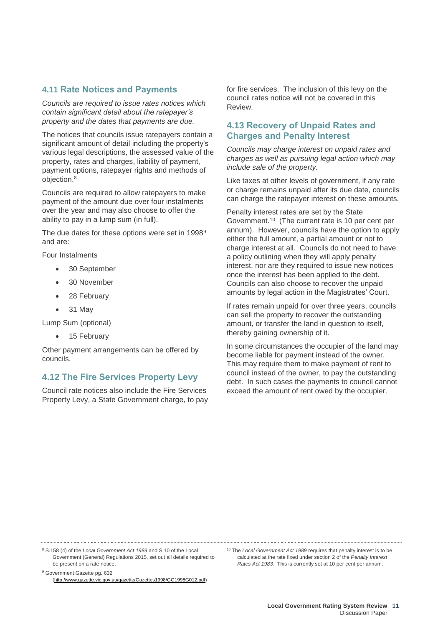## <span id="page-12-0"></span>**4.11 Rate Notices and Payments**

*Councils are required to issue rates notices which contain significant detail about the ratepayer's property and the dates that payments are due.*

The notices that councils issue ratepayers contain a significant amount of detail including the property's various legal descriptions, the assessed value of the property, rates and charges, liability of payment, payment options, ratepayer rights and methods of objection.<sup>8</sup>

Councils are required to allow ratepayers to make payment of the amount due over four instalments over the year and may also choose to offer the ability to pay in a lump sum (in full).

The due dates for these options were set in 1998<sup>9</sup> and are:

Four Instalments

- 30 September
- 30 November
- 28 February
- 31 May

Lump Sum (optional)

15 February

Other payment arrangements can be offered by councils.

# <span id="page-12-1"></span>**4.12 The Fire Services Property Levy**

Council rate notices also include the Fire Services Property Levy, a State Government charge, to pay for fire services. The inclusion of this levy on the council rates notice will not be covered in this Review.

# <span id="page-12-2"></span>**4.13 Recovery of Unpaid Rates and Charges and Penalty Interest**

*Councils may charge interest on unpaid rates and charges as well as pursuing legal action which may include sale of the property.* 

Like taxes at other levels of government, if any rate or charge remains unpaid after its due date, councils can charge the ratepayer interest on these amounts.

Penalty interest rates are set by the State Government.<sup>10</sup> (The current rate is 10 per cent per annum). However, councils have the option to apply either the full amount, a partial amount or not to charge interest at all. Councils do not need to have a policy outlining when they will apply penalty interest, nor are they required to issue new notices once the interest has been applied to the debt. Councils can also choose to recover the unpaid amounts by legal action in the Magistrates' Court.

If rates remain unpaid for over three years, councils can sell the property to recover the outstanding amount, or transfer the land in question to itself, thereby gaining ownership of it.

In some circumstances the occupier of the land may become liable for payment instead of the owner. This may require them to make payment of rent to council instead of the owner, to pay the outstanding debt. In such cases the payments to council cannot exceed the amount of rent owed by the occupier.

<sup>8</sup> S.158 (4) of the *Local Government Act 1989* and S.10 of the Local Government (General) Regulations 2015, set out all details required to be present on a rate notice.

<sup>9</sup> Government Gazette pg. 632 [\(http://www.gazette.vic.gov.au/gazette/Gazettes1998/GG1998G012.pdf\)](http://www.gazette.vic.gov.au/gazette/Gazettes1998/GG1998G012.pdf)

<sup>&</sup>lt;sup>10</sup> The *Local Government Act 1989* requires that penalty interest is to be calculated at the rate fixed under section 2 of the *Penalty Interest Rates Act 1983.* This is currently set at 10 per cent per annum.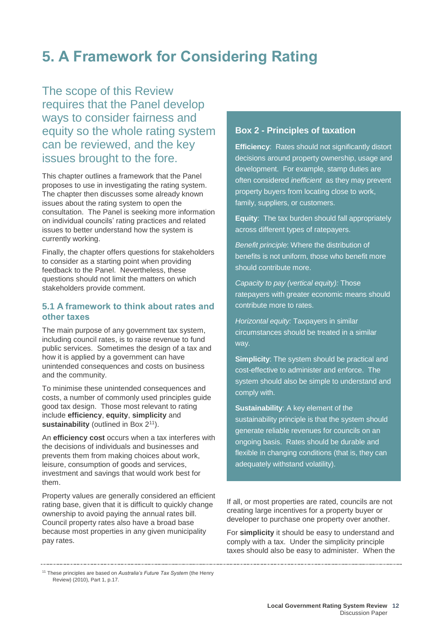# <span id="page-13-0"></span>**5. A Framework for Considering Rating**

The scope of this Review requires that the Panel develop ways to consider fairness and equity so the whole rating system can be reviewed, and the key issues brought to the fore.

This chapter outlines a framework that the Panel proposes to use in investigating the rating system. The chapter then discusses some already known issues about the rating system to open the consultation. The Panel is seeking more information on individual councils' rating practices and related issues to better understand how the system is currently working.

Finally, the chapter offers questions for stakeholders to consider as a starting point when providing feedback to the Panel. Nevertheless, these questions should not limit the matters on which stakeholders provide comment.

# <span id="page-13-1"></span>**5.1 A framework to think about rates and other taxes**

The main purpose of any government tax system, including council rates, is to raise revenue to fund public services. Sometimes the design of a tax and how it is applied by a government can have unintended consequences and costs on business and the community.

To minimise these unintended consequences and costs, a number of commonly used principles guide good tax design. Those most relevant to rating include **efficiency**, **equity**, **simplicity** and **sustainability** (outlined in Box 2<sup>11</sup>).

An **efficiency cost** occurs when a tax interferes with the decisions of individuals and businesses and prevents them from making choices about work, leisure, consumption of goods and services, investment and savings that would work best for them.

Property values are generally considered an efficient rating base, given that it is difficult to quickly change ownership to avoid paying the annual rates bill. Council property rates also have a broad base because most properties in any given municipality pay rates.

# **Box 2 - Principles of taxation**

**Efficiency**: Rates should not significantly distort decisions around property ownership, usage and development. For example, stamp duties are often considered *inefficient* as they may prevent property buyers from locating close to work, family, suppliers, or customers.

**Equity**: The tax burden should fall appropriately across different types of ratepayers.

*Benefit principle*: Where the distribution of benefits is not uniform, those who benefit more should contribute more.

*Capacity to pay (vertical equity):* Those ratepayers with greater economic means should contribute more to rates.

*Horizontal equity:* Taxpayers in similar circumstances should be treated in a similar way.

**Simplicity**: The system should be practical and cost-effective to administer and enforce. The system should also be simple to understand and comply with.

**Sustainability**: A key element of the sustainability principle is that the system should generate reliable revenues for councils on an ongoing basis. Rates should be durable and flexible in changing conditions (that is, they can adequately withstand volatility).

If all, or most properties are rated, councils are not creating large incentives for a property buyer or developer to purchase one property over another.

For **simplicity** it should be easy to understand and comply with a tax. Under the simplicity principle taxes should also be easy to administer. When the

<sup>11</sup> These principles are based on *Australia's Future Tax System* (the Henry Review) (2010), Part 1, p.17.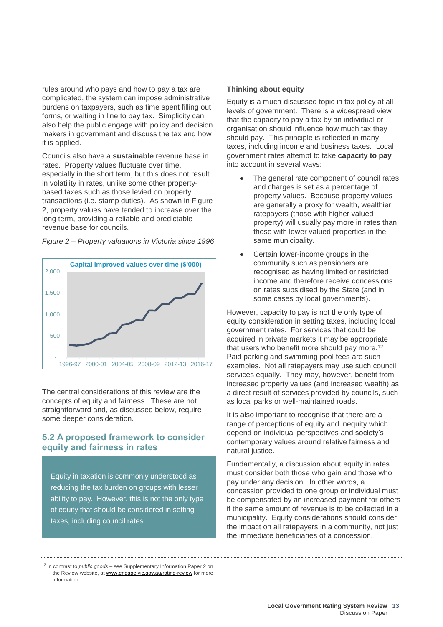rules around who pays and how to pay a tax are complicated, the system can impose administrative burdens on taxpayers, such as time spent filling out forms, or waiting in line to pay tax. Simplicity can also help the public engage with policy and decision makers in government and discuss the tax and how it is applied.

Councils also have a **sustainable** revenue base in rates. Property values fluctuate over time, especially in the short term, but this does not result in volatility in rates, unlike some other propertybased taxes such as those levied on property transactions (i.e. stamp duties). As shown in Figure 2, property values have tended to increase over the long term, providing a reliable and predictable revenue base for councils.



*Figure 2 – Property valuations in Victoria since 1996*

### The central considerations of this review are the concepts of equity and fairness. These are not straightforward and, as discussed below, require some deeper consideration.

# <span id="page-14-0"></span>**5.2 A proposed framework to consider equity and fairness in rates**

Equity in taxation is commonly understood as reducing the tax burden on groups with lesser ability to pay. However, this is not the only type of equity that should be considered in setting taxes, including council rates.

#### <span id="page-14-1"></span>**Thinking about equity**

Equity is a much-discussed topic in tax policy at all levels of government. There is a widespread view that the capacity to pay a tax by an individual or organisation should influence how much tax they should pay. This principle is reflected in many taxes, including income and business taxes. Local government rates attempt to take **capacity to pay** into account in several ways:

- The general rate component of council rates and charges is set as a percentage of property values. Because property values are generally a proxy for wealth, wealthier ratepayers (those with higher valued property) will usually pay more in rates than those with lower valued properties in the same municipality.
- Certain lower-income groups in the community such as pensioners are recognised as having limited or restricted income and therefore receive concessions on rates subsidised by the State (and in some cases by local governments).

However, capacity to pay is not the only type of equity consideration in setting taxes, including local government rates. For services that could be acquired in private markets it may be appropriate that users who benefit more should pay more. 12 Paid parking and swimming pool fees are such examples. Not all ratepayers may use such council services equally. They may, however, benefit from increased property values (and increased wealth) as a direct result of services provided by councils, such as local parks or well-maintained roads.

It is also important to recognise that there are a range of perceptions of equity and inequity which depend on individual perspectives and society's contemporary values around relative fairness and natural justice.

Fundamentally, a discussion about equity in rates must consider both those who gain and those who pay under any decision. In other words, a concession provided to one group or individual must be compensated by an increased payment for others if the same amount of revenue is to be collected in a municipality. Equity considerations should consider the impact on all ratepayers in a community, not just the immediate beneficiaries of a concession.

<sup>12</sup> In contrast to *public goods –* see Supplementary Information Paper 2 on the Review website, at [www.engage.vic.gov.au/rating-review](http://www.engage.vic.gov.au/rating-review) for more information.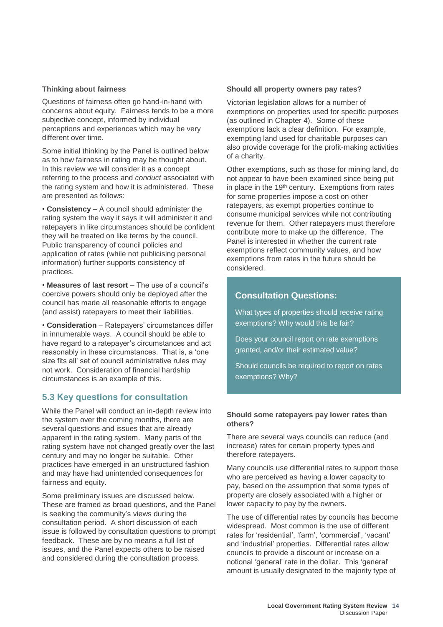#### <span id="page-15-0"></span>**Thinking about fairness**

Questions of fairness often go hand-in-hand with concerns about equity. Fairness tends to be a more subjective concept, informed by individual perceptions and experiences which may be very different over time.

Some initial thinking by the Panel is outlined below as to how fairness in rating may be thought about. In this review we will consider it as a concept referring to the process and *conduct* associated with the rating system and how it is administered. These are presented as follows:

• **Consistency** – A council should administer the rating system the way it says it will administer it and ratepayers in like circumstances should be confident they will be treated on like terms by the council. Public transparency of council policies and application of rates (while not publicising personal information) further supports consistency of practices.

• **Measures of last resort** – The use of a council's coercive powers should only be deployed after the council has made all reasonable efforts to engage (and assist) ratepayers to meet their liabilities.

• **Consideration** – Ratepayers' circumstances differ in innumerable ways. A council should be able to have regard to a ratepayer's circumstances and act reasonably in these circumstances. That is, a 'one size fits all' set of council administrative rules may not work. Consideration of financial hardship circumstances is an example of this.

### <span id="page-15-1"></span>**5.3 Key questions for consultation**

While the Panel will conduct an in-depth review into the system over the coming months, there are several questions and issues that are already apparent in the rating system. Many parts of the rating system have not changed greatly over the last century and may no longer be suitable. Other practices have emerged in an unstructured fashion and may have had unintended consequences for fairness and equity.

Some preliminary issues are discussed below. These are framed as broad questions, and the Panel is seeking the community's views during the consultation period. A short discussion of each issue is followed by consultation questions to prompt feedback. These are by no means a full list of issues, and the Panel expects others to be raised and considered during the consultation process.

#### <span id="page-15-2"></span>**Should all property owners pay rates?**

Victorian legislation allows for a number of exemptions on properties used for specific purposes (as outlined in Chapter 4). Some of these exemptions lack a clear definition. For example, exempting land used for charitable purposes can also provide coverage for the profit-making activities of a charity.

Other exemptions, such as those for mining land, do not appear to have been examined since being put in place in the 19th century. Exemptions from rates for some properties impose a cost on other ratepayers, as exempt properties continue to consume municipal services while not contributing revenue for them. Other ratepayers must therefore contribute more to make up the difference. The Panel is interested in whether the current rate exemptions reflect community values, and how exemptions from rates in the future should be considered.

# **Consultation Questions:**

What types of properties should receive rating exemptions? Why would this be fair?

Does your council report on rate exemptions granted, and/or their estimated value?

Should councils be required to report on rates exemptions? Why?

#### <span id="page-15-3"></span>**Should some ratepayers pay lower rates than others?**

There are several ways councils can reduce (and increase) rates for certain property types and therefore ratepayers.

Many councils use differential rates to support those who are perceived as having a lower capacity to pay, based on the assumption that some types of property are closely associated with a higher or lower capacity to pay by the owners.

The use of differential rates by councils has become widespread. Most common is the use of different rates for 'residential', 'farm', 'commercial', 'vacant' and 'industrial' properties. Differential rates allow councils to provide a discount or increase on a notional 'general' rate in the dollar. This 'general' amount is usually designated to the majority type of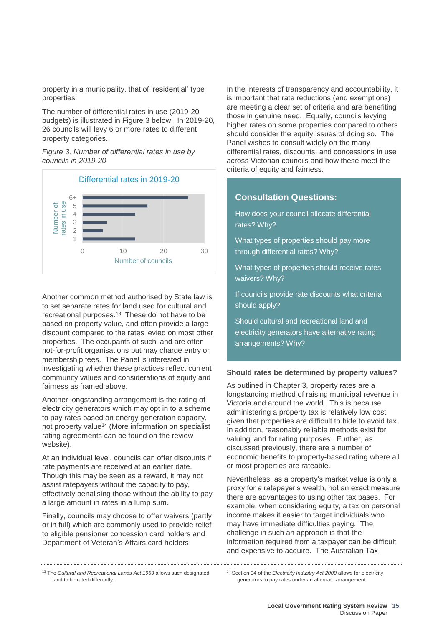property in a municipality, that of 'residential' type properties.

The number of differential rates in use (2019-20 budgets) is illustrated in Figure 3 below. In 2019-20, 26 councils will levy 6 or more rates to different property categories.

#### *Figure 3. Number of differential rates in use by councils in 2019-20*



Another common method authorised by State law is to set separate rates for land used for cultural and recreational purposes.<sup>13</sup> These do not have to be based on property value, and often provide a large discount compared to the rates levied on most other properties. The occupants of such land are often not-for-profit organisations but may charge entry or membership fees. The Panel is interested in investigating whether these practices reflect current community values and considerations of equity and fairness as framed above.

Another longstanding arrangement is the rating of electricity generators which may opt in to a scheme to pay rates based on energy generation capacity, not property value<sup>14</sup> (More information on specialist rating agreements can be found on the review website).

At an individual level, councils can offer discounts if rate payments are received at an earlier date. Though this may be seen as a reward, it may not assist ratepayers without the capacity to pay, effectively penalising those without the ability to pay a large amount in rates in a lump sum.

Finally, councils may choose to offer waivers (partly or in full) which are commonly used to provide relief to eligible pensioner concession card holders and Department of Veteran's Affairs card holders

In the interests of transparency and accountability, it is important that rate reductions (and exemptions) are meeting a clear set of criteria and are benefiting those in genuine need. Equally, councils levying higher rates on some properties compared to others should consider the equity issues of doing so. The Panel wishes to consult widely on the many differential rates, discounts, and concessions in use across Victorian councils and how these meet the criteria of equity and fairness.

# **Consultation Questions:**

How does your council allocate differential rates? Why?

What types of properties should pay more through differential rates? Why?

What types of properties should receive rates waivers? Why?

If councils provide rate discounts what criteria should apply?

Should cultural and recreational land and electricity generators have alternative rating arrangements? Why?

#### <span id="page-16-0"></span>**Should rates be determined by property values?**

As outlined in Chapter 3, property rates are a longstanding method of raising municipal revenue in Victoria and around the world. This is because administering a property tax is relatively low cost given that properties are difficult to hide to avoid tax. In addition, reasonably reliable methods exist for valuing land for rating purposes. Further, as discussed previously, there are a number of economic benefits to property-based rating where all or most properties are rateable.

Nevertheless, as a property's market value is only a proxy for a ratepayer's wealth, not an exact measure there are advantages to using other tax bases. For example, when considering equity, a tax on personal income makes it easier to target individuals who may have immediate difficulties paying. The challenge in such an approach is that the information required from a taxpayer can be difficult and expensive to acquire. The Australian Tax

<sup>13</sup> The *Cultural and Recreational Lands Act 1963* allows such designated land to be rated differently.

<sup>14</sup> Section 94 of the *Electricity Industry Act 2000* allows for electricity generators to pay rates under an alternate arrangement.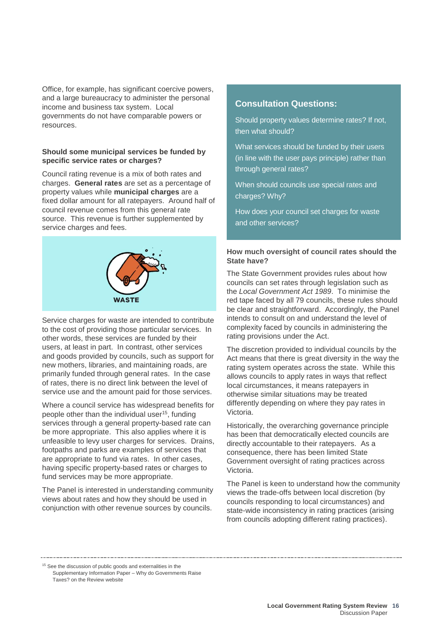Office, for example, has significant coercive powers, and a large bureaucracy to administer the personal income and business tax system. Local governments do not have comparable powers or resources.

#### **Should some municipal services be funded by specific service rates or charges?**

Council rating revenue is a mix of both rates and charges. **General rates** are set as a percentage of property values while **municipal charges** are a fixed dollar amount for all ratepayers. Around half of council revenue comes from this general rate source. This revenue is further supplemented by service charges and fees.



Service charges for waste are intended to contribute to the cost of providing those particular services. In other words, these services are funded by their users, at least in part. In contrast, other services and goods provided by councils, such as support for new mothers, libraries, and maintaining roads, are primarily funded through general rates. In the case of rates, there is no direct link between the level of service use and the amount paid for those services.

Where a council service has widespread benefits for people other than the individual user<sup>15</sup>, funding services through a general property-based rate can be more appropriate. This also applies where it is unfeasible to levy user charges for services. Drains, footpaths and parks are examples of services that are appropriate to fund via rates. In other cases, having specific property-based rates or charges to fund services may be more appropriate.

The Panel is interested in understanding community views about rates and how they should be used in conjunction with other revenue sources by councils.

# **Consultation Questions:**

Should property values determine rates? If not, then what should?

What services should be funded by their users (in line with the user pays principle) rather than through general rates?

When should councils use special rates and charges? Why?

How does your council set charges for waste and other services?

### <span id="page-17-0"></span>**How much oversight of council rates should the State have?**

The State Government provides rules about how councils can set rates through legislation such as the *Local Government Act 1989*. To minimise the red tape faced by all 79 councils, these rules should be clear and straightforward. Accordingly, the Panel intends to consult on and understand the level of complexity faced by councils in administering the rating provisions under the Act.

The discretion provided to individual councils by the Act means that there is great diversity in the way the rating system operates across the state. While this allows councils to apply rates in ways that reflect local circumstances, it means ratepayers in otherwise similar situations may be treated differently depending on where they pay rates in Victoria.

Historically, the overarching governance principle has been that democratically elected councils are directly accountable to their ratepayers. As a consequence, there has been limited State Government oversight of rating practices across Victoria.

The Panel is keen to understand how the community views the trade-offs between local discretion (by councils responding to local circumstances) and state-wide inconsistency in rating practices (arising from councils adopting different rating practices).

<sup>15</sup> See the discussion of public goods and externalities in the Supplementary Information Paper – Why do Governments Raise Taxes? on the Review website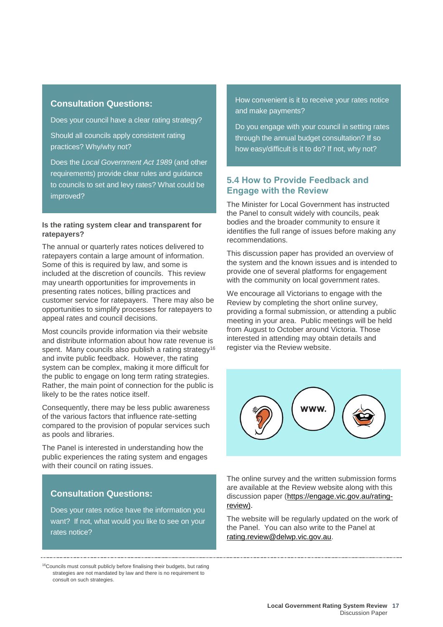# **Consultation Questions:**

Does your council have a clear rating strategy?

Should all councils apply consistent rating practices? Why/why not?

Does the *Local Government Act 1989* (and other requirements) provide clear rules and guidance to councils to set and levy rates? What could be improved?

#### <span id="page-18-0"></span>**Is the rating system clear and transparent for ratepayers?**

The annual or quarterly rates notices delivered to ratepayers contain a large amount of information. Some of this is required by law, and some is included at the discretion of councils. This review may unearth opportunities for improvements in presenting rates notices, billing practices and customer service for ratepayers. There may also be opportunities to simplify processes for ratepayers to appeal rates and council decisions.

Most councils provide information via their website and distribute information about how rate revenue is spent. Many councils also publish a rating strategy<sup>16</sup> and invite public feedback. However, the rating system can be complex, making it more difficult for the public to engage on long term rating strategies. Rather, the main point of connection for the public is likely to be the rates notice itself.

Consequently, there may be less public awareness of the various factors that influence rate-setting compared to the provision of popular services such as pools and libraries.

The Panel is interested in understanding how the public experiences the rating system and engages with their council on rating issues.

# **Consultation Questions:**

Does your rates notice have the information you want? If not, what would you like to see on your rates notice?

<sup>16</sup>Councils must consult publicly before finalising their budgets, but rating strategies are not mandated by law and there is no requirement to consult on such strategies.

How convenient is it to receive your rates notice and make payments?

Do you engage with your council in setting rates through the annual budget consultation? If so how easy/difficult is it to do? If not, why not?

## <span id="page-18-1"></span>**5.4 How to Provide Feedback and Engage with the Review**

The Minister for Local Government has instructed the Panel to consult widely with councils, peak bodies and the broader community to ensure it identifies the full range of issues before making any recommendations.

This discussion paper has provided an overview of the system and the known issues and is intended to provide one of several platforms for engagement with the community on local government rates.

We encourage all Victorians to engage with the Review by completing the short online survey, providing a formal submission, or attending a public meeting in your area. Public meetings will be held from August to October around Victoria. Those interested in attending may obtain details and register via the Review website.



The online survey and the written submission forms are available at the Review website along with this discussion paper [\(https://engage.vic.gov.au/rating](https://engage.vic.gov.au/rating-review)[review\)](https://engage.vic.gov.au/rating-review).

The website will be regularly updated on the work of the Panel. You can also write to the Panel at [rating.review@delwp.vic.gov.au.](mailto:rating.review@delwp.vic.gov.au)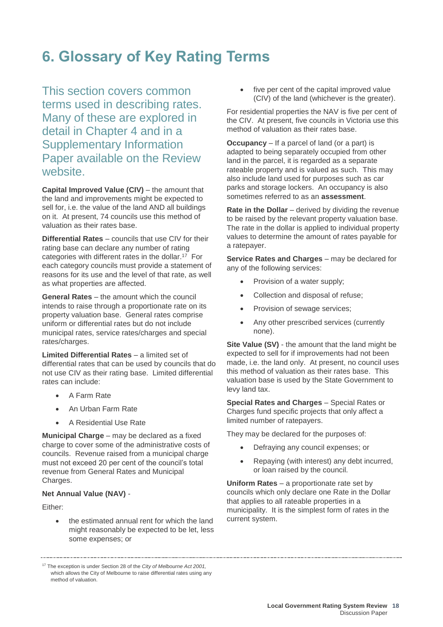# <span id="page-19-0"></span>**6. Glossary of Key Rating Terms**

This section covers common terms used in describing rates. Many of these are explored in detail in Chapter 4 and in a Supplementary Information Paper available on the Review website.

**Capital Improved Value (CIV)** – the amount that the land and improvements might be expected to sell for, i.e. the value of the land AND all buildings on it. At present, 74 councils use this method of valuation as their rates base.

**Differential Rates** – councils that use CIV for their rating base can declare any number of rating categories with different rates in the dollar. <sup>17</sup> For each category councils must provide a statement of reasons for its use and the level of that rate, as well as what properties are affected.

**General Rates** – the amount which the council intends to raise through a proportionate rate on its property valuation base. General rates comprise uniform or differential rates but do not include municipal rates, service rates/charges and special rates/charges.

**Limited Differential Rates** – a limited set of differential rates that can be used by councils that do not use CIV as their rating base. Limited differential rates can include:

- A Farm Rate
- An Urban Farm Rate
- A Residential Use Rate

**Municipal Charge** – may be declared as a fixed charge to cover some of the administrative costs of councils. Revenue raised from a municipal charge must not exceed 20 per cent of the council's total revenue from General Rates and Municipal Charges.

### **Net Annual Value (NAV)** -

Either:

• the estimated annual rent for which the land might reasonably be expected to be let, less some expenses; or

five per cent of the capital improved value (CIV) of the land (whichever is the greater).

For residential properties the NAV is five per cent of the CIV. At present, five councils in Victoria use this method of valuation as their rates base.

**Occupancy** – If a parcel of land (or a part) is adapted to being separately occupied from other land in the parcel, it is regarded as a separate rateable property and is valued as such. This may also include land used for purposes such as car parks and storage lockers. An occupancy is also sometimes referred to as an **assessment**.

**Rate in the Dollar** – derived by dividing the revenue to be raised by the relevant property valuation base. The rate in the dollar is applied to individual property values to determine the amount of rates payable for a ratepayer.

**Service Rates and Charges** – may be declared for any of the following services:

- Provision of a water supply;
- Collection and disposal of refuse;
- Provision of sewage services;
- Any other prescribed services (currently none).

**Site Value (SV)** - the amount that the land might be expected to sell for if improvements had not been made, i.e. the land only. At present, no council uses this method of valuation as their rates base. This valuation base is used by the State Government to levy land tax.

**Special Rates and Charges** – Special Rates or Charges fund specific projects that only affect a limited number of ratepayers.

They may be declared for the purposes of:

- Defraying any council expenses; or
- Repaying (with interest) any debt incurred, or loan raised by the council.

**Uniform Rates** – a proportionate rate set by councils which only declare one Rate in the Dollar that applies to all rateable properties in a municipality. It is the simplest form of rates in the current system.

<sup>17</sup> The exception is under Section 28 of the *City of Melbourne Act 2001,* which allows the City of Melbourne to raise differential rates using any method of valuation.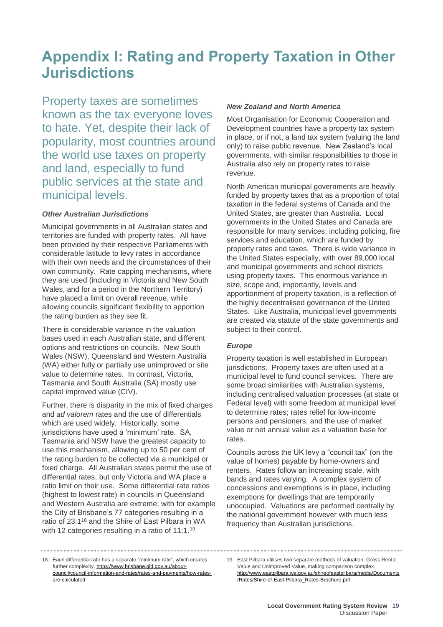# <span id="page-20-0"></span>**Appendix I: Rating and Property Taxation in Other Jurisdictions**

Property taxes are sometimes known as the tax everyone loves to hate. Yet, despite their lack of popularity, most countries around the world use taxes on property and land, especially to fund public services at the state and municipal levels.

#### *Other Australian Jurisdictions*

Municipal governments in all Australian states and territories are funded with property rates. All have been provided by their respective Parliaments with considerable latitude to levy rates in accordance with their own needs and the circumstances of their own community. Rate capping mechanisms, where they are used (including in Victoria and New South Wales, and for a period in the Northern Territory) have placed a limit on overall revenue, while allowing councils significant flexibility to apportion the rating burden as they see fit.

There is considerable variance in the valuation bases used in each Australian state, and different options and restrictions on councils. New South Wales (NSW), Queensland and Western Australia (WA) either fully or partially use unimproved or site value to determine rates. In contrast, Victoria, Tasmania and South Australia (SA) mostly use capital improved value (CIV).

Further, there is disparity in the mix of fixed charges and *ad valorem* rates and the use of differentials which are used widely. Historically, some jurisdictions have used a 'minimum' rate. SA, Tasmania and NSW have the greatest capacity to use this mechanism, allowing up to 50 per cent of the rating burden to be collected via a municipal or fixed charge. All Australian states permit the use of differential rates, but only Victoria and WA place a ratio limit on their use. Some differential rate ratios (highest to lowest rate) in councils in Queensland and Western Australia are extreme; with for example the City of Brisbane's 77 categories resulting in a ratio of 23:1<sup>18</sup> and the Shire of East Pilbara in WA with 12 categories resulting in a ratio of 11:1.<sup>19</sup>

#### *New Zealand and North America*

Most Organisation for Economic Cooperation and Development countries have a property tax system in place, or if not, a land tax system (valuing the land only) to raise public revenue. New Zealand's local governments, with similar responsibilities to those in Australia also rely on property rates to raise revenue.

North American municipal governments are heavily funded by property taxes that as a proportion of total taxation in the federal systems of Canada and the United States, are greater than Australia. Local governments in the United States and Canada are responsible for many services, including policing, fire services and education, which are funded by property rates and taxes. There is wide variance in the United States especially, with over 89,000 local and municipal governments and school districts using property taxes. This enormous variance in size, scope and, importantly, levels and apportionment of property taxation, is a reflection of the highly decentralised governance of the United States. Like Australia, municipal level governments are created via statute of the state governments and subject to their control.

#### *Europe*

Property taxation is well established in European jurisdictions. Property taxes are often used at a municipal level to fund council services. There are some broad similarities with Australian systems, including centralised valuation processes (at state or Federal level) with some freedom at municipal level to determine rates; rates relief for low-income persons and pensioners; and the use of market value or net annual value as a valuation base for rates.

Councils across the UK levy a "council tax" (on the value of homes) payable by home-owners and renters. Rates follow an increasing scale, with bands and rates varying. A complex system of concessions and exemptions is in place, including exemptions for dwellings that are temporarily unoccupied. Valuations are performed centrally by the national government however with much less frequency than Australian jurisdictions.

<sup>18.</sup> Each differential rate has a separate "minimum rate", which creates further complexity. [https://www.brisbane.qld.gov.au/about](https://www.brisbane.qld.gov.au/about-council/council-information-and-rates/rates-and-payments/how-rates-are-calculated)[council/council-information-and-rates/rates-and-payments/how-rates](https://www.brisbane.qld.gov.au/about-council/council-information-and-rates/rates-and-payments/how-rates-are-calculated)[are-calculated](https://www.brisbane.qld.gov.au/about-council/council-information-and-rates/rates-and-payments/how-rates-are-calculated)

<sup>19.</sup> East Pilbara utilises two separate methods of valuation, Gross Rental Value and Unimproved Value, making comparison complex. [http://www.eastpilbara.wa.gov.au/shireofeastpilbara/media/Documents](http://www.eastpilbara.wa.gov.au/shireofeastpilbara/media/Documents/Rates/Shire-of-East-Pilbara_Rates-Brochure.pdf) [/Rates/Shire-of-East-Pilbara\\_Rates-Brochure.pdf](http://www.eastpilbara.wa.gov.au/shireofeastpilbara/media/Documents/Rates/Shire-of-East-Pilbara_Rates-Brochure.pdf)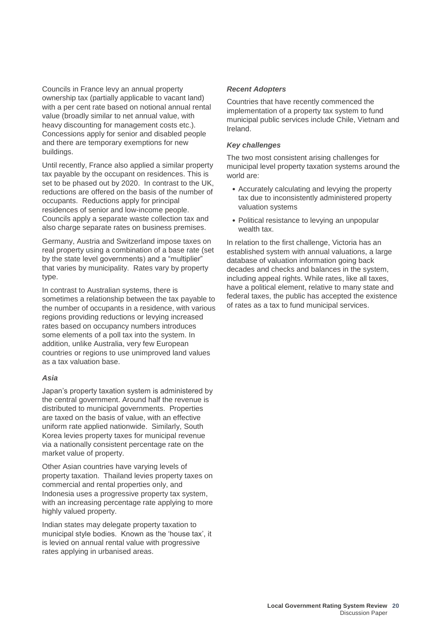Councils in France levy an annual property ownership tax (partially applicable to vacant land) with a per cent rate based on notional annual rental value (broadly similar to net annual value, with heavy discounting for management costs etc.). Concessions apply for senior and disabled people and there are temporary exemptions for new buildings.

Until recently, France also applied a similar property tax payable by the occupant on residences. This is set to be phased out by 2020. In contrast to the UK, reductions are offered on the basis of the number of occupants. Reductions apply for principal residences of senior and low-income people. Councils apply a separate waste collection tax and also charge separate rates on business premises.

Germany, Austria and Switzerland impose taxes on real property using a combination of a base rate (set by the state level governments) and a "multiplier" that varies by municipality. Rates vary by property type.

In contrast to Australian systems, there is sometimes a relationship between the tax payable to the number of occupants in a residence, with various regions providing reductions or levying increased rates based on occupancy numbers introduces some elements of a poll tax into the system. In addition, unlike Australia, very few European countries or regions to use unimproved land values as a tax valuation base.

#### *Asia*

Japan's property taxation system is administered by the central government. Around half the revenue is distributed to municipal governments. Properties are taxed on the basis of value, with an effective uniform rate applied nationwide. Similarly, South Korea levies property taxes for municipal revenue via a nationally consistent percentage rate on the market value of property.

Other Asian countries have varying levels of property taxation. Thailand levies property taxes on commercial and rental properties only, and Indonesia uses a progressive property tax system, with an increasing percentage rate applying to more highly valued property.

Indian states may delegate property taxation to municipal style bodies. Known as the 'house tax', it is levied on annual rental value with progressive rates applying in urbanised areas.

#### *Recent Adopters*

Countries that have recently commenced the implementation of a property tax system to fund municipal public services include Chile, Vietnam and Ireland.

#### *Key challenges*

The two most consistent arising challenges for municipal level property taxation systems around the world are:

- Accurately calculating and levying the property tax due to inconsistently administered property valuation systems
- Political resistance to levying an unpopular wealth tax.

In relation to the first challenge, Victoria has an established system with annual valuations, a large database of valuation information going back decades and checks and balances in the system, including appeal rights. While rates, like all taxes, have a political element, relative to many state and federal taxes, the public has accepted the existence of rates as a tax to fund municipal services.